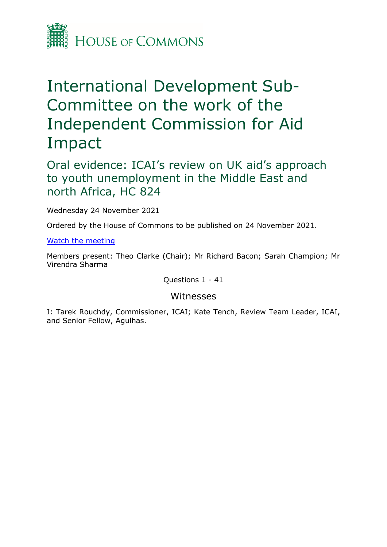

# International Development Sub-Committee on the work of the Independent Commission for Aid Impact

Oral evidence: ICAI's review on UK aid's approach to youth unemployment in the Middle East and north Africa, HC 824

Wednesday 24 November 2021

Ordered by the House of Commons to be published on 24 November 2021.

[Watch](https://parliamentlive.tv/Event/Index/07a368ad-1a28-4725-af10-50c5aa26d201) [the](https://parliamentlive.tv/Event/Index/07a368ad-1a28-4725-af10-50c5aa26d201) [meeting](https://parliamentlive.tv/Event/Index/07a368ad-1a28-4725-af10-50c5aa26d201)

Members present: Theo Clarke (Chair); Mr Richard Bacon; Sarah Champion; Mr Virendra Sharma

Questions 1 - 41

### Witnesses

I: Tarek Rouchdy, Commissioner, ICAI; Kate Tench, Review Team Leader, ICAI, and Senior Fellow, Agulhas.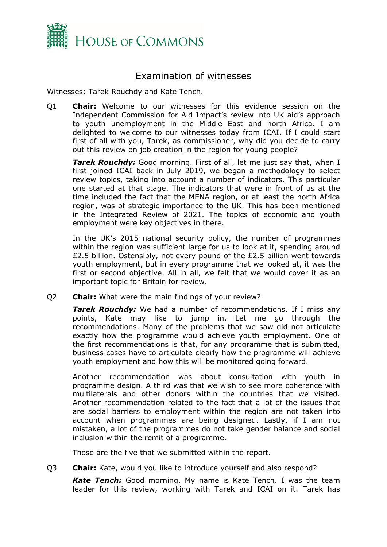

## Examination of witnesses

Witnesses: Tarek Rouchdy and Kate Tench.

Q1 **Chair:** Welcome to our witnesses for this evidence session on the Independent Commission for Aid Impact's review into UK aid's approach to youth unemployment in the Middle East and north Africa. I am delighted to welcome to our witnesses today from ICAI. If I could start first of all with you, Tarek, as commissioner, why did you decide to carry out this review on job creation in the region for young people?

*Tarek Rouchdy:* Good morning. First of all, let me just say that, when I first joined ICAI back in July 2019, we began a methodology to select review topics, taking into account a number of indicators. This particular one started at that stage. The indicators that were in front of us at the time included the fact that the MENA region, or at least the north Africa region, was of strategic importance to the UK. This has been mentioned in the Integrated Review of 2021. The topics of economic and youth employment were key objectives in there.

In the UK's 2015 national security policy, the number of programmes within the region was sufficient large for us to look at it, spending around £2.5 billion. Ostensibly, not every pound of the £2.5 billion went towards youth employment, but in every programme that we looked at, it was the first or second objective. All in all, we felt that we would cover it as an important topic for Britain for review.

Q2 **Chair:** What were the main findings of your review?

*Tarek Rouchdy:* We had a number of recommendations. If I miss any points, Kate may like to jump in. Let me go through the recommendations. Many of the problems that we saw did not articulate exactly how the programme would achieve youth employment. One of the first recommendations is that, for any programme that is submitted, business cases have to articulate clearly how the programme will achieve youth employment and how this will be monitored going forward.

Another recommendation was about consultation with youth in programme design. A third was that we wish to see more coherence with multilaterals and other donors within the countries that we visited. Another recommendation related to the fact that a lot of the issues that are social barriers to employment within the region are not taken into account when programmes are being designed. Lastly, if I am not mistaken, a lot of the programmes do not take gender balance and social inclusion within the remit of a programme.

Those are the five that we submitted within the report.

Q3 **Chair:** Kate, would you like to introduce yourself and also respond?

*Kate Tench:* Good morning. My name is Kate Tench. I was the team leader for this review, working with Tarek and ICAI on it. Tarek has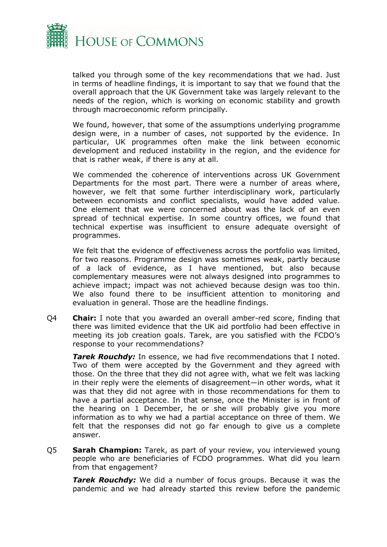

talked you through some of the key recommendations that we had. Just in terms of headline findings, it is important to say that we found that the overall approach that the UK Government take was largely relevant to the needs of the region, which is working on economic stability and growth through macroeconomic reform principally.

We found, however, that some of the assumptions underlying programme design were, in a number of cases, not supported by the evidence. In particular, UK programmes often make the link between economic development and reduced instability in the region, and the evidence for that is rather weak, if there is any at all.

We commended the coherence of interventions across UK Government Departments for the most part. There were a number of areas where, however, we felt that some further interdisciplinary work, particularly between economists and conflict specialists, would have added value. One element that we were concerned about was the lack of an even spread of technical expertise. In some country offices, we found that technical expertise was insufficient to ensure adequate oversight of programmes.

We felt that the evidence of effectiveness across the portfolio was limited, for two reasons. Programme design was sometimes weak, partly because of a lack of evidence, as I have mentioned, but also because complementary measures were not always designed into programmes to achieve impact; impact was not achieved because design was too thin. We also found there to be insufficient attention to monitoring and evaluation in general. Those are the headline findings.

Q4 **Chair:** I note that you awarded an overall amber-red score, finding that there was limited evidence that the UK aid portfolio had been effective in meeting its job creation goals. Tarek, are you satisfied with the FCDO's response to your recommendations?

*Tarek Rouchdy:* In essence, we had five recommendations that I noted. Two of them were accepted by the Government and they agreed with those. On the three that they did not agree with, what we felt was lacking in their reply were the elements of disagreement—in other words, what it was that they did not agree with in those recommendations for them to have a partial acceptance. In that sense, once the Minister is in front of the hearing on 1 December, he or she will probably give you more information as to why we had a partial acceptance on three of them. We felt that the responses did not go far enough to give us a complete answer.

Q5 **Sarah Champion:** Tarek, as part of your review, you interviewed young people who are beneficiaries of FCDO programmes. What did you learn from that engagement?

*Tarek Rouchdy:* We did a number of focus groups. Because it was the pandemic and we had already started this review before the pandemic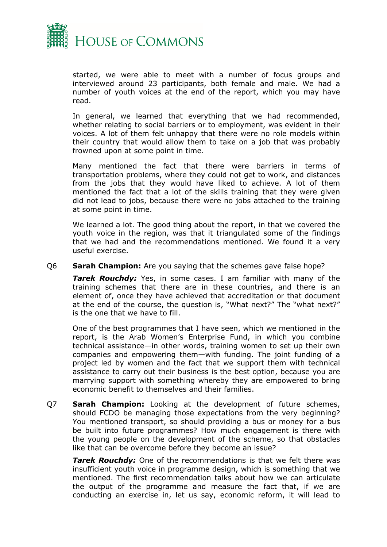

started, we were able to meet with a number of focus groups and interviewed around 23 participants, both female and male. We had a number of youth voices at the end of the report, which you may have read.

In general, we learned that everything that we had recommended, whether relating to social barriers or to employment, was evident in their voices. A lot of them felt unhappy that there were no role models within their country that would allow them to take on a job that was probably frowned upon at some point in time.

Many mentioned the fact that there were barriers in terms of transportation problems, where they could not get to work, and distances from the jobs that they would have liked to achieve. A lot of them mentioned the fact that a lot of the skills training that they were given did not lead to jobs, because there were no jobs attached to the training at some point in time.

We learned a lot. The good thing about the report, in that we covered the youth voice in the region, was that it triangulated some of the findings that we had and the recommendations mentioned. We found it a very useful exercise.

#### Q6 **Sarah Champion:** Are you saying that the schemes gave false hope?

*Tarek Rouchdy:* Yes, in some cases. I am familiar with many of the training schemes that there are in these countries, and there is an element of, once they have achieved that accreditation or that document at the end of the course, the question is, "What next?" The "what next?" is the one that we have to fill.

One of the best programmes that I have seen, which we mentioned in the report, is the Arab Women's Enterprise Fund, in which you combine technical assistance—in other words, training women to set up their own companies and empowering them—with funding. The joint funding of a project led by women and the fact that we support them with technical assistance to carry out their business is the best option, because you are marrying support with something whereby they are empowered to bring economic benefit to themselves and their families.

Q7 **Sarah Champion:** Looking at the development of future schemes, should FCDO be managing those expectations from the very beginning? You mentioned transport, so should providing a bus or money for a bus be built into future programmes? How much engagement is there with the young people on the development of the scheme, so that obstacles like that can be overcome before they become an issue?

*Tarek Rouchdy:* One of the recommendations is that we felt there was insufficient youth voice in programme design, which is something that we mentioned. The first recommendation talks about how we can articulate the output of the programme and measure the fact that, if we are conducting an exercise in, let us say, economic reform, it will lead to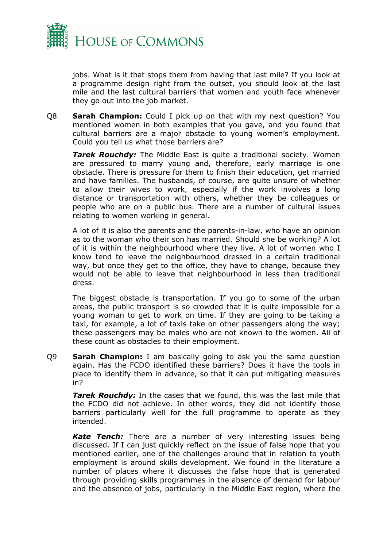

jobs. What is it that stops them from having that last mile? If you look at a programme design right from the outset, you should look at the last mile and the last cultural barriers that women and youth face whenever they go out into the job market.

Q8 **Sarah Champion:** Could I pick up on that with my next question? You mentioned women in both examples that you gave, and you found that cultural barriers are a major obstacle to young women's employment. Could you tell us what those barriers are?

*Tarek Rouchdy:* The Middle East is quite a traditional society. Women are pressured to marry young and, therefore, early marriage is one obstacle. There is pressure for them to finish their education, get married and have families. The husbands, of course, are quite unsure of whether to allow their wives to work, especially if the work involves a long distance or transportation with others, whether they be colleagues or people who are on a public bus. There are a number of cultural issues relating to women working in general.

A lot of it is also the parents and the parents-in-law, who have an opinion as to the woman who their son has married. Should she be working? A lot of it is within the neighbourhood where they live. A lot of women who I know tend to leave the neighbourhood dressed in a certain traditional way, but once they get to the office, they have to change, because they would not be able to leave that neighbourhood in less than traditional dress.

The biggest obstacle is transportation. If you go to some of the urban areas, the public transport is so crowded that it is quite impossible for a young woman to get to work on time. If they are going to be taking a taxi, for example, a lot of taxis take on other passengers along the way; these passengers may be males who are not known to the women. All of these count as obstacles to their employment.

Q9 **Sarah Champion:** I am basically going to ask you the same question again. Has the FCDO identified these barriers? Does it have the tools in place to identify them in advance, so that it can put mitigating measures in?

*Tarek Rouchdy:* In the cases that we found, this was the last mile that the FCDO did not achieve. In other words, they did not identify those barriers particularly well for the full programme to operate as they intended.

*Kate Tench:* There are a number of very interesting issues being discussed. If I can just quickly reflect on the issue of false hope that you mentioned earlier, one of the challenges around that in relation to youth employment is around skills development. We found in the literature a number of places where it discusses the false hope that is generated through providing skills programmes in the absence of demand for labour and the absence of jobs, particularly in the Middle East region, where the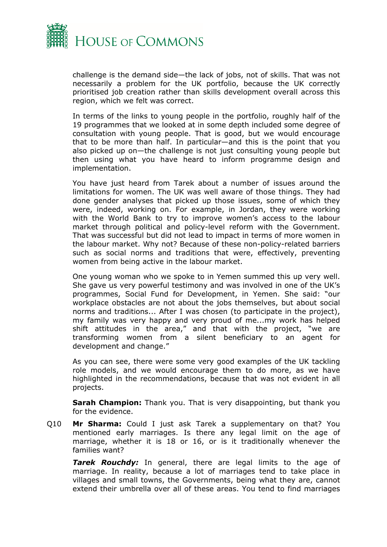

challenge is the demand side—the lack of jobs, not of skills. That was not necessarily a problem for the UK portfolio, because the UK correctly prioritised job creation rather than skills development overall across this region, which we felt was correct.

In terms of the links to young people in the portfolio, roughly half of the 19 programmes that we looked at in some depth included some degree of consultation with young people. That is good, but we would encourage that to be more than half. In particular—and this is the point that you also picked up on—the challenge is not just consulting young people but then using what you have heard to inform programme design and implementation.

You have just heard from Tarek about a number of issues around the limitations for women. The UK was well aware of those things. They had done gender analyses that picked up those issues, some of which they were, indeed, working on. For example, in Jordan, they were working with the World Bank to try to improve women's access to the labour market through political and policy-level reform with the Government. That was successful but did not lead to impact in terms of more women in the labour market. Why not? Because of these non-policy-related barriers such as social norms and traditions that were, effectively, preventing women from being active in the labour market.

One young woman who we spoke to in Yemen summed this up very well. She gave us very powerful testimony and was involved in one of the UK's programmes, Social Fund for Development, in Yemen. She said: "our workplace obstacles are not about the jobs themselves, but about social norms and traditions... After I was chosen (to participate in the project), my family was very happy and very proud of me...my work has helped shift attitudes in the area," and that with the project, "we are transforming women from a silent beneficiary to an agent for development and change."

As you can see, there were some very good examples of the UK tackling role models, and we would encourage them to do more, as we have highlighted in the recommendations, because that was not evident in all projects.

**Sarah Champion:** Thank you. That is very disappointing, but thank you for the evidence.

Q10 **Mr Sharma:** Could I just ask Tarek a supplementary on that? You mentioned early marriages. Is there any legal limit on the age of marriage, whether it is 18 or 16, or is it traditionally whenever the families want?

*Tarek Rouchdy:* In general, there are legal limits to the age of marriage. In reality, because a lot of marriages tend to take place in villages and small towns, the Governments, being what they are, cannot extend their umbrella over all of these areas. You tend to find marriages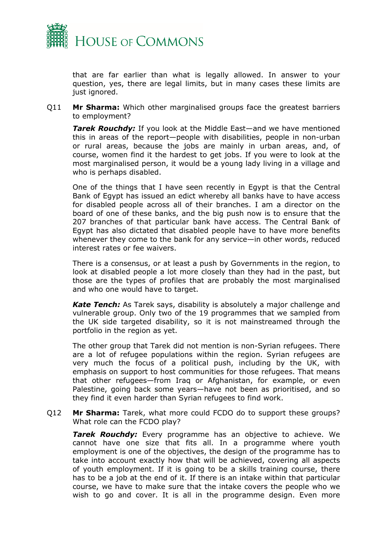

that are far earlier than what is legally allowed. In answer to your question, yes, there are legal limits, but in many cases these limits are just ignored.

Q11 **Mr Sharma:** Which other marginalised groups face the greatest barriers to employment?

*Tarek Rouchdy:* If you look at the Middle East—and we have mentioned this in areas of the report—people with disabilities, people in non-urban or rural areas, because the jobs are mainly in urban areas, and, of course, women find it the hardest to get jobs. If you were to look at the most marginalised person, it would be a young lady living in a village and who is perhaps disabled.

One of the things that I have seen recently in Egypt is that the Central Bank of Egypt has issued an edict whereby all banks have to have access for disabled people across all of their branches. I am a director on the board of one of these banks, and the big push now is to ensure that the 207 branches of that particular bank have access. The Central Bank of Egypt has also dictated that disabled people have to have more benefits whenever they come to the bank for any service—in other words, reduced interest rates or fee waivers.

There is a consensus, or at least a push by Governments in the region, to look at disabled people a lot more closely than they had in the past, but those are the types of profiles that are probably the most marginalised and who one would have to target.

*Kate Tench:* As Tarek says, disability is absolutely a major challenge and vulnerable group. Only two of the 19 programmes that we sampled from the UK side targeted disability, so it is not mainstreamed through the portfolio in the region as yet.

The other group that Tarek did not mention is non-Syrian refugees. There are a lot of refugee populations within the region. Syrian refugees are very much the focus of a political push, including by the UK, with emphasis on support to host communities for those refugees. That means that other refugees—from Iraq or Afghanistan, for example, or even Palestine, going back some years—have not been as prioritised, and so they find it even harder than Syrian refugees to find work.

Q12 **Mr Sharma:** Tarek, what more could FCDO do to support these groups? What role can the FCDO play?

*Tarek Rouchdy:* Every programme has an objective to achieve. We cannot have one size that fits all. In a programme where youth employment is one of the objectives, the design of the programme has to take into account exactly how that will be achieved, covering all aspects of youth employment. If it is going to be a skills training course, there has to be a job at the end of it. If there is an intake within that particular course, we have to make sure that the intake covers the people who we wish to go and cover. It is all in the programme design. Even more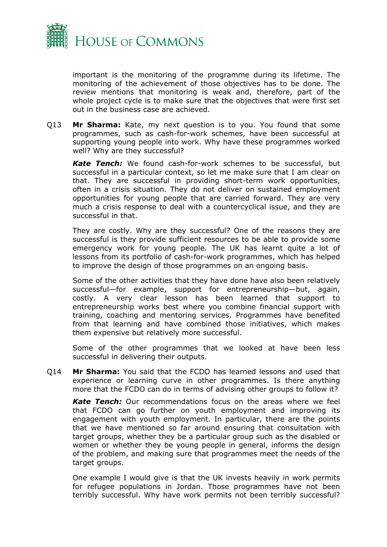

important is the monitoring of the programme during its lifetime. The monitoring of the achievement of those objectives has to be done. The review mentions that monitoring is weak and, therefore, part of the whole project cycle is to make sure that the objectives that were first set out in the business case are achieved.

Q13 **Mr Sharma:** Kate, my next question is to you. You found that some programmes, such as cash-for-work schemes, have been successful at supporting young people into work. Why have these programmes worked well? Why are they successful?

*Kate Tench:* We found cash-for-work schemes to be successful, but successful in a particular context, so let me make sure that I am clear on that. They are successful in providing short-term work opportunities, often in a crisis situation. They do not deliver on sustained employment opportunities for young people that are carried forward. They are very much a crisis response to deal with a countercyclical issue, and they are successful in that.

They are costly. Why are they successful? One of the reasons they are successful is they provide sufficient resources to be able to provide some emergency work for young people. The UK has learnt quite a lot of lessons from its portfolio of cash-for-work programmes, which has helped to improve the design of those programmes on an ongoing basis.

Some of the other activities that they have done have also been relatively successful—for example, support for entrepreneurship—but, again, costly. A very clear lesson has been learned that support to entrepreneurship works best where you combine financial support with training, coaching and mentoring services. Programmes have benefited from that learning and have combined those initiatives, which makes them expensive but relatively more successful.

Some of the other programmes that we looked at have been less successful in delivering their outputs.

Q14 **Mr Sharma:** You said that the FCDO has learned lessons and used that experience or learning curve in other programmes. Is there anything more that the FCDO can do in terms of advising other groups to follow it?

*Kate Tench:* Our recommendations focus on the areas where we feel that FCDO can go further on youth employment and improving its engagement with youth employment. In particular, there are the points that we have mentioned so far around ensuring that consultation with target groups, whether they be a particular group such as the disabled or women or whether they be young people in general, informs the design of the problem, and making sure that programmes meet the needs of the target groups.

One example I would give is that the UK invests heavily in work permits for refugee populations in Jordan. Those programmes have not been terribly successful. Why have work permits not been terribly successful?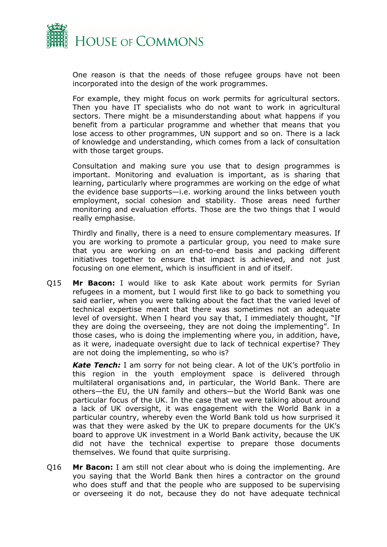

One reason is that the needs of those refugee groups have not been incorporated into the design of the work programmes.

For example, they might focus on work permits for agricultural sectors. Then you have IT specialists who do not want to work in agricultural sectors. There might be a misunderstanding about what happens if you benefit from a particular programme and whether that means that you lose access to other programmes, UN support and so on. There is a lack of knowledge and understanding, which comes from a lack of consultation with those target groups.

Consultation and making sure you use that to design programmes is important. Monitoring and evaluation is important, as is sharing that learning, particularly where programmes are working on the edge of what the evidence base supports—i.e. working around the links between youth employment, social cohesion and stability. Those areas need further monitoring and evaluation efforts. Those are the two things that I would really emphasise.

Thirdly and finally, there is a need to ensure complementary measures. If you are working to promote a particular group, you need to make sure that you are working on an end-to-end basis and packing different initiatives together to ensure that impact is achieved, and not just focusing on one element, which is insufficient in and of itself.

Q15 **Mr Bacon:** I would like to ask Kate about work permits for Syrian refugees in a moment, but I would first like to go back to something you said earlier, when you were talking about the fact that the varied level of technical expertise meant that there was sometimes not an adequate level of oversight. When I heard you say that, I immediately thought, "If they are doing the overseeing, they are not doing the implementing". In those cases, who is doing the implementing where you, in addition, have, as it were, inadequate oversight due to lack of technical expertise? They are not doing the implementing, so who is?

*Kate Tench:* I am sorry for not being clear. A lot of the UK's portfolio in this region in the youth employment space is delivered through multilateral organisations and, in particular, the World Bank. There are others—the EU, the UN family and others—but the World Bank was one particular focus of the UK. In the case that we were talking about around a lack of UK oversight, it was engagement with the World Bank in a particular country, whereby even the World Bank told us how surprised it was that they were asked by the UK to prepare documents for the UK's board to approve UK investment in a World Bank activity, because the UK did not have the technical expertise to prepare those documents themselves. We found that quite surprising.

Q16 **Mr Bacon:** I am still not clear about who is doing the implementing. Are you saying that the World Bank then hires a contractor on the ground who does stuff and that the people who are supposed to be supervising or overseeing it do not, because they do not have adequate technical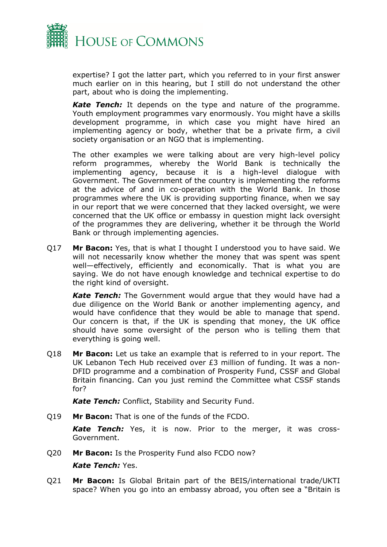

expertise? I got the latter part, which you referred to in your first answer much earlier on in this hearing, but I still do not understand the other part, about who is doing the implementing.

*Kate Tench:* It depends on the type and nature of the programme. Youth employment programmes vary enormously. You might have a skills development programme, in which case you might have hired an implementing agency or body, whether that be a private firm, a civil society organisation or an NGO that is implementing.

The other examples we were talking about are very high-level policy reform programmes, whereby the World Bank is technically the implementing agency, because it is a high-level dialogue with Government. The Government of the country is implementing the reforms at the advice of and in co-operation with the World Bank. In those programmes where the UK is providing supporting finance, when we say in our report that we were concerned that they lacked oversight, we were concerned that the UK office or embassy in question might lack oversight of the programmes they are delivering, whether it be through the World Bank or through implementing agencies.

Q17 **Mr Bacon:** Yes, that is what I thought I understood you to have said. We will not necessarily know whether the money that was spent was spent well—effectively, efficiently and economically. That is what you are saying. We do not have enough knowledge and technical expertise to do the right kind of oversight.

*Kate Tench:* The Government would argue that they would have had a due diligence on the World Bank or another implementing agency, and would have confidence that they would be able to manage that spend. Our concern is that, if the UK is spending that money, the UK office should have some oversight of the person who is telling them that everything is going well.

Q18 **Mr Bacon:** Let us take an example that is referred to in your report. The UK Lebanon Tech Hub received over £3 million of funding. It was a non-DFID programme and a combination of Prosperity Fund, CSSF and Global Britain financing. Can you just remind the Committee what CSSF stands for?

*Kate Tench:* Conflict, Stability and Security Fund.

Q19 **Mr Bacon:** That is one of the funds of the FCDO.

*Kate Tench:* Yes, it is now. Prior to the merger, it was cross-Government.

Q20 **Mr Bacon:** Is the Prosperity Fund also FCDO now?

#### *Kate Tench:* Yes.

Q21 **Mr Bacon:** Is Global Britain part of the BEIS/international trade/UKTI space? When you go into an embassy abroad, you often see a "Britain is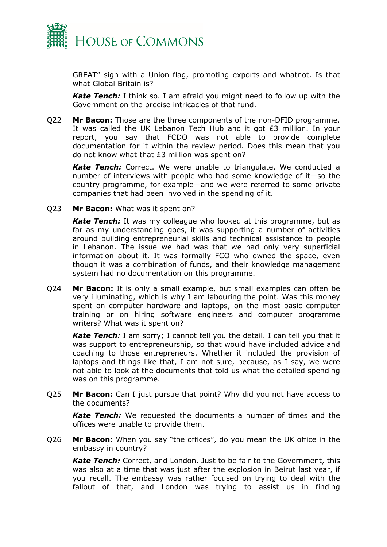

GREAT" sign with a Union flag, promoting exports and whatnot. Is that what Global Britain is?

*Kate Tench:* I think so. I am afraid you might need to follow up with the Government on the precise intricacies of that fund.

Q22 **Mr Bacon:** Those are the three components of the non-DFID programme. It was called the UK Lebanon Tech Hub and it got £3 million. In your report, you say that FCDO was not able to provide complete documentation for it within the review period. Does this mean that you do not know what that £3 million was spent on?

*Kate Tench:* Correct. We were unable to triangulate. We conducted a number of interviews with people who had some knowledge of it—so the country programme, for example—and we were referred to some private companies that had been involved in the spending of it.

Q23 **Mr Bacon:** What was it spent on?

**Kate Tench:** It was my colleague who looked at this programme, but as far as my understanding goes, it was supporting a number of activities around building entrepreneurial skills and technical assistance to people in Lebanon. The issue we had was that we had only very superficial information about it. It was formally FCO who owned the space, even though it was a combination of funds, and their knowledge management system had no documentation on this programme.

Q24 **Mr Bacon:** It is only a small example, but small examples can often be very illuminating, which is why I am labouring the point. Was this money spent on computer hardware and laptops, on the most basic computer training or on hiring software engineers and computer programme writers? What was it spent on?

**Kate Tench:** I am sorry; I cannot tell you the detail. I can tell you that it was support to entrepreneurship, so that would have included advice and coaching to those entrepreneurs. Whether it included the provision of laptops and things like that, I am not sure, because, as I say, we were not able to look at the documents that told us what the detailed spending was on this programme.

Q25 **Mr Bacon:** Can I just pursue that point? Why did you not have access to the documents?

*Kate Tench:* We requested the documents a number of times and the offices were unable to provide them.

Q26 **Mr Bacon:** When you say "the offices", do you mean the UK office in the embassy in country?

*Kate Tench:* Correct, and London. Just to be fair to the Government, this was also at a time that was just after the explosion in Beirut last year, if you recall. The embassy was rather focused on trying to deal with the fallout of that, and London was trying to assist us in finding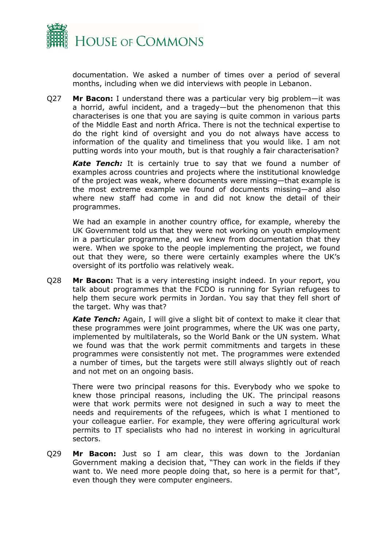

documentation. We asked a number of times over a period of several months, including when we did interviews with people in Lebanon.

Q27 **Mr Bacon:** I understand there was a particular very big problem—it was a horrid, awful incident, and a tragedy—but the phenomenon that this characterises is one that you are saying is quite common in various parts of the Middle East and north Africa. There is not the technical expertise to do the right kind of oversight and you do not always have access to information of the quality and timeliness that you would like. I am not putting words into your mouth, but is that roughly a fair characterisation?

*Kate Tench:* It is certainly true to say that we found a number of examples across countries and projects where the institutional knowledge of the project was weak, where documents were missing—that example is the most extreme example we found of documents missing—and also where new staff had come in and did not know the detail of their programmes.

We had an example in another country office, for example, whereby the UK Government told us that they were not working on youth employment in a particular programme, and we knew from documentation that they were. When we spoke to the people implementing the project, we found out that they were, so there were certainly examples where the UK's oversight of its portfolio was relatively weak.

Q28 **Mr Bacon:** That is a very interesting insight indeed. In your report, you talk about programmes that the FCDO is running for Syrian refugees to help them secure work permits in Jordan. You say that they fell short of the target. Why was that?

*Kate Tench:* Again, I will give a slight bit of context to make it clear that these programmes were joint programmes, where the UK was one party, implemented by multilaterals, so the World Bank or the UN system. What we found was that the work permit commitments and targets in these programmes were consistently not met. The programmes were extended a number of times, but the targets were still always slightly out of reach and not met on an ongoing basis.

There were two principal reasons for this. Everybody who we spoke to knew those principal reasons, including the UK. The principal reasons were that work permits were not designed in such a way to meet the needs and requirements of the refugees, which is what I mentioned to your colleague earlier. For example, they were offering agricultural work permits to IT specialists who had no interest in working in agricultural sectors.

Q29 **Mr Bacon:** Just so I am clear, this was down to the Jordanian Government making a decision that, "They can work in the fields if they want to. We need more people doing that, so here is a permit for that", even though they were computer engineers.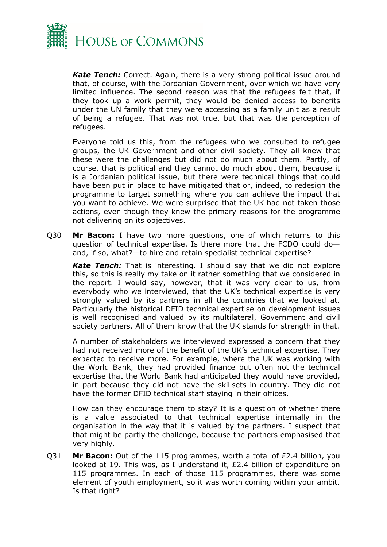

*Kate Tench:* Correct. Again, there is a very strong political issue around that, of course, with the Jordanian Government, over which we have very limited influence. The second reason was that the refugees felt that, if they took up a work permit, they would be denied access to benefits under the UN family that they were accessing as a family unit as a result of being a refugee. That was not true, but that was the perception of refugees.

Everyone told us this, from the refugees who we consulted to refugee groups, the UK Government and other civil society. They all knew that these were the challenges but did not do much about them. Partly, of course, that is political and they cannot do much about them, because it is a Jordanian political issue, but there were technical things that could have been put in place to have mitigated that or, indeed, to redesign the programme to target something where you can achieve the impact that you want to achieve. We were surprised that the UK had not taken those actions, even though they knew the primary reasons for the programme not delivering on its objectives.

Q30 **Mr Bacon:** I have two more questions, one of which returns to this question of technical expertise. Is there more that the FCDO could do and, if so, what?—to hire and retain specialist technical expertise?

*Kate Tench:* That is interesting. I should say that we did not explore this, so this is really my take on it rather something that we considered in the report. I would say, however, that it was very clear to us, from everybody who we interviewed, that the UK's technical expertise is very strongly valued by its partners in all the countries that we looked at. Particularly the historical DFID technical expertise on development issues is well recognised and valued by its multilateral, Government and civil society partners. All of them know that the UK stands for strength in that.

A number of stakeholders we interviewed expressed a concern that they had not received more of the benefit of the UK's technical expertise. They expected to receive more. For example, where the UK was working with the World Bank, they had provided finance but often not the technical expertise that the World Bank had anticipated they would have provided, in part because they did not have the skillsets in country. They did not have the former DFID technical staff staying in their offices.

How can they encourage them to stay? It is a question of whether there is a value associated to that technical expertise internally in the organisation in the way that it is valued by the partners. I suspect that that might be partly the challenge, because the partners emphasised that very highly.

Q31 **Mr Bacon:** Out of the 115 programmes, worth a total of £2.4 billion, you looked at 19. This was, as I understand it, £2.4 billion of expenditure on 115 programmes. In each of those 115 programmes, there was some element of youth employment, so it was worth coming within your ambit. Is that right?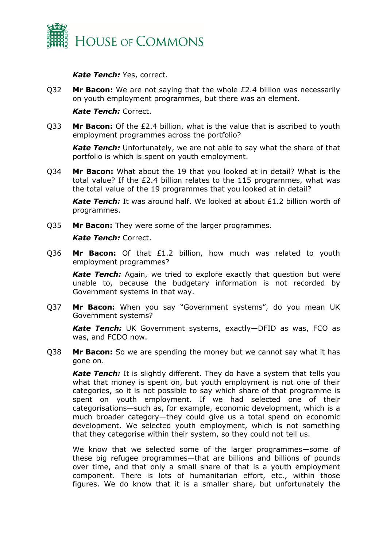

*Kate Tench:* Yes, correct.

Q32 **Mr Bacon:** We are not saying that the whole £2.4 billion was necessarily on youth employment programmes, but there was an element.

*Kate Tench:* Correct.

Q33 **Mr Bacon:** Of the £2.4 billion, what is the value that is ascribed to youth employment programmes across the portfolio?

*Kate Tench:* Unfortunately, we are not able to say what the share of that portfolio is which is spent on youth employment.

Q34 **Mr Bacon:** What about the 19 that you looked at in detail? What is the total value? If the £2.4 billion relates to the 115 programmes, what was the total value of the 19 programmes that you looked at in detail?

*Kate Tench:* It was around half. We looked at about £1.2 billion worth of programmes.

Q35 **Mr Bacon:** They were some of the larger programmes.

#### *Kate Tench:* Correct.

Q36 **Mr Bacon:** Of that £1.2 billion, how much was related to youth employment programmes?

*Kate Tench:* Again, we tried to explore exactly that question but were unable to, because the budgetary information is not recorded by Government systems in that way.

Q37 **Mr Bacon:** When you say "Government systems", do you mean UK Government systems?

*Kate Tench:* UK Government systems, exactly—DFID as was, FCO as was, and FCDO now.

Q38 **Mr Bacon:** So we are spending the money but we cannot say what it has gone on.

*Kate Tench:* It is slightly different. They do have a system that tells you what that money is spent on, but youth employment is not one of their categories, so it is not possible to say which share of that programme is spent on youth employment. If we had selected one of their categorisations—such as, for example, economic development, which is a much broader category—they could give us a total spend on economic development. We selected youth employment, which is not something that they categorise within their system, so they could not tell us.

We know that we selected some of the larger programmes—some of these big refugee programmes—that are billions and billions of pounds over time, and that only a small share of that is a youth employment component. There is lots of humanitarian effort, etc., within those figures. We do know that it is a smaller share, but unfortunately the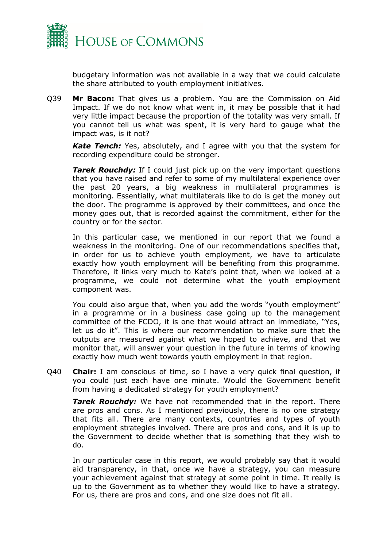

budgetary information was not available in a way that we could calculate the share attributed to youth employment initiatives.

Q39 **Mr Bacon:** That gives us a problem. You are the Commission on Aid Impact. If we do not know what went in, it may be possible that it had very little impact because the proportion of the totality was very small. If you cannot tell us what was spent, it is very hard to gauge what the impact was, is it not?

*Kate Tench:* Yes, absolutely, and I agree with you that the system for recording expenditure could be stronger.

**Tarek Rouchdy:** If I could just pick up on the very important questions that you have raised and refer to some of my multilateral experience over the past 20 years, a big weakness in multilateral programmes is monitoring. Essentially, what multilaterals like to do is get the money out the door. The programme is approved by their committees, and once the money goes out, that is recorded against the commitment, either for the country or for the sector.

In this particular case, we mentioned in our report that we found a weakness in the monitoring. One of our recommendations specifies that, in order for us to achieve youth employment, we have to articulate exactly how youth employment will be benefiting from this programme. Therefore, it links very much to Kate's point that, when we looked at a programme, we could not determine what the youth employment component was.

You could also argue that, when you add the words "youth employment" in a programme or in a business case going up to the management committee of the FCDO, it is one that would attract an immediate, "Yes, let us do it". This is where our recommendation to make sure that the outputs are measured against what we hoped to achieve, and that we monitor that, will answer your question in the future in terms of knowing exactly how much went towards youth employment in that region.

Q40 **Chair:** I am conscious of time, so I have a very quick final question, if you could just each have one minute. Would the Government benefit from having a dedicated strategy for youth employment?

*Tarek Rouchdy:* We have not recommended that in the report. There are pros and cons. As I mentioned previously, there is no one strategy that fits all. There are many contexts, countries and types of youth employment strategies involved. There are pros and cons, and it is up to the Government to decide whether that is something that they wish to do.

In our particular case in this report, we would probably say that it would aid transparency, in that, once we have a strategy, you can measure your achievement against that strategy at some point in time. It really is up to the Government as to whether they would like to have a strategy. For us, there are pros and cons, and one size does not fit all.